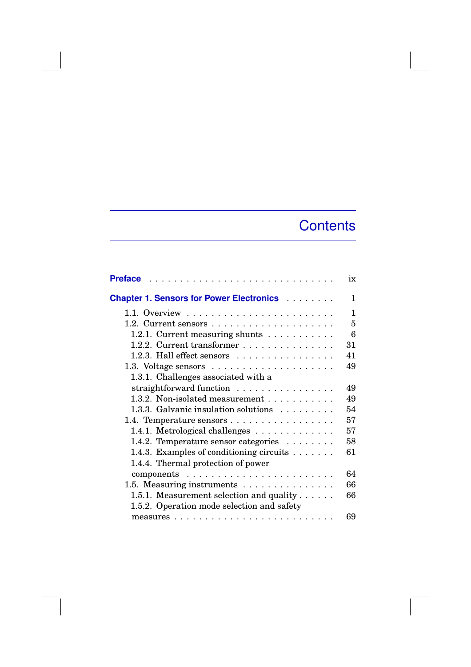## **Contents**

| <b>Preface</b>                                                               | ix     |
|------------------------------------------------------------------------------|--------|
| <b>Chapter 1. Sensors for Power Electronics Alexander Chapter 1. Sensors</b> | 1      |
|                                                                              | 1      |
| 1.2. Current sensors $\ldots \ldots \ldots \ldots \ldots \ldots$             | 5      |
| 1.2.1. Current measuring shunts                                              | 6      |
| 1.2.2. Current transformer                                                   | $31\,$ |
| 1.2.3. Hall effect sensors                                                   | 41     |
|                                                                              | 49     |
| 1.3.1. Challenges associated with a                                          |        |
| straightforward function                                                     | 49     |
| 1.3.2. Non-isolated measurement                                              | 49     |
| 1.3.3. Galvanic insulation solutions                                         | 54     |
| 1.4. Temperature sensors                                                     | 57     |
| 1.4.1. Metrological challenges                                               | 57     |
| 1.4.2. Temperature sensor categories                                         | 58     |
| 1.4.3. Examples of conditioning circuits $\dots \dots$                       | 61     |
| 1.4.4. Thermal protection of power                                           |        |
|                                                                              | 64     |
| 1.5. Measuring instruments                                                   | 66     |
| 1.5.1. Measurement selection and quality $\dots$ .                           | 66     |
| 1.5.2. Operation mode selection and safety                                   |        |
|                                                                              | 69     |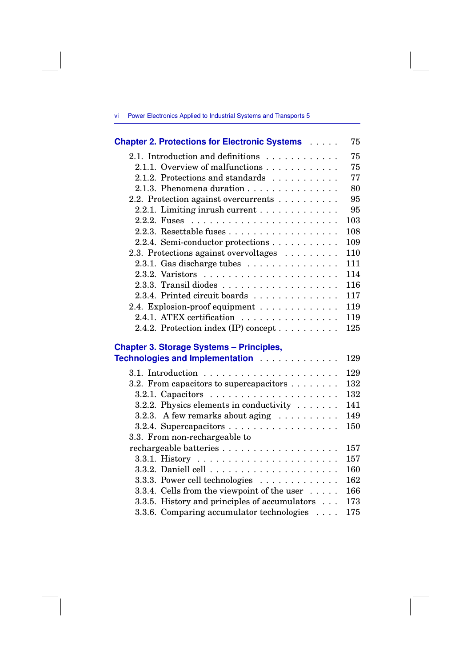| vi - | Power Electronics Applied to Industrial Systems and Transports 5 |  |  |  |  |
|------|------------------------------------------------------------------|--|--|--|--|
|------|------------------------------------------------------------------|--|--|--|--|

| <b>Chapter 2. Protections for Electronic Systems Albume</b> | 75  |
|-------------------------------------------------------------|-----|
| 2.1. Introduction and definitions                           | 75  |
| 2.1.1. Overview of malfunctions                             | 75  |
| 2.1.2. Protections and standards                            | 77  |
| 2.1.3. Phenomena duration                                   | 80  |
| 2.2. Protection against overcurrents                        | 95  |
| 2.2.1. Limiting inrush current                              | 95  |
|                                                             | 103 |
|                                                             | 108 |
| 2.2.4. Semi-conductor protections                           | 109 |
| 2.3. Protections against overvoltages                       | 110 |
| 2.3.1. Gas discharge tubes $\ldots \ldots \ldots \ldots$    | 111 |
|                                                             | 114 |
|                                                             | 116 |
| 2.3.4. Printed circuit boards                               | 117 |
| 2.4. Explosion-proof equipment                              | 119 |
| 2.4.1. ATEX certification                                   | 119 |
| 2.4.2. Protection index (IP) concept                        | 125 |
|                                                             |     |

## **Chapter 3. Storage Systems – Principles,**

| Technologies and Implementation                              | 129 |
|--------------------------------------------------------------|-----|
|                                                              | 129 |
| 3.2. From capacitors to supercapacitors $\dots \dots$        | 132 |
|                                                              | 132 |
| 3.2.2. Physics elements in conductivity                      | 141 |
| 3.2.3. A few remarks about aging $\dots \dots \dots$         | 149 |
|                                                              | 150 |
| 3.3. From non-rechargeable to                                |     |
|                                                              | 157 |
|                                                              | 157 |
|                                                              | 160 |
| 3.3.3. Power cell technologies $\ldots \ldots \ldots \ldots$ | 162 |
| 3.3.4. Cells from the viewpoint of the user                  | 166 |
| 3.3.5. History and principles of accumulators $\dots$        | 173 |
| 3.3.6. Comparing accumulator technologies                    | 175 |
|                                                              |     |